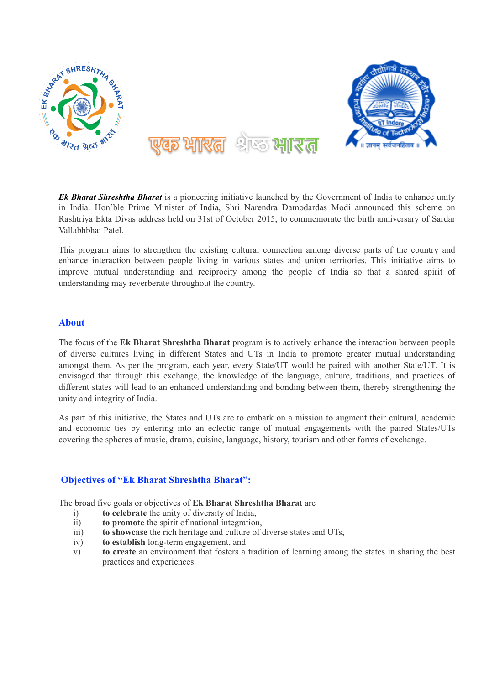

*Ek Bharat Shreshtha Bharat* is a pioneering initiative launched by the Government of India to enhance unity in India. Hon'ble Prime Minister of India, Shri Narendra Damodardas Modi announced this scheme on Rashtriya Ekta Divas address held on 31st of October 2015, to commemorate the birth anniversary of Sardar Vallabhbhai Patel.

This program aims to strengthen the existing cultural connection among diverse parts of the country and enhance interaction between people living in various states and union territories. This initiative aims to improve mutual understanding and reciprocity among the people of India so that a shared spirit of understanding may reverberate throughout the country.

## **About**

The focus of the **Ek Bharat Shreshtha Bharat** program is to actively enhance the interaction between people of diverse cultures living in different States and UTs in India to promote greater mutual understanding amongst them. As per the program, each year, every State/UT would be paired with another State/UT. It is envisaged that through this exchange, the knowledge of the language, culture, traditions, and practices of different states will lead to an enhanced understanding and bonding between them, thereby strengthening the unity and integrity of India.

As part of this initiative, the States and UTs are to embark on a mission to augment their cultural, academic and economic ties by entering into an eclectic range of mutual engagements with the paired States/UTs covering the spheres of music, drama, cuisine, language, history, tourism and other forms of exchange.

## **Objectives of "Ek Bharat Shreshtha Bharat":**

The broad five goals or objectives of **Ek Bharat Shreshtha Bharat** are

- i) **to celebrate** the unity of diversity of India,
- ii) **to promote** the spirit of national integration,
- iii) **to showcase** the rich heritage and culture of diverse states and UTs,
- iv) **to establish** long-term engagement, and
- v) **to create** an environment that fosters a tradition of learning among the states in sharing the best practices and experiences.